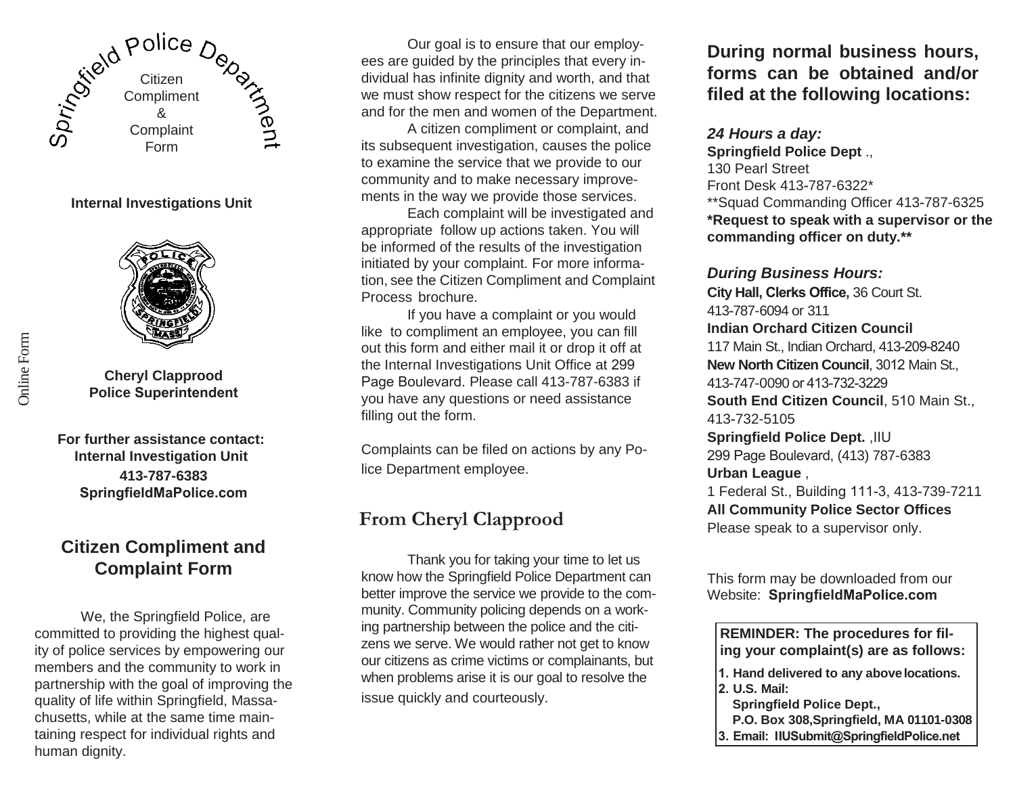

### **Internal Investigations Unit**



**Cheryl Clapprood Police Superintendent**

**For further assistance contact: Internal Investigation Unit 413-787-6383 [SpringfieldMaPolice.com](http://www.springfield-ma.gov/police)**

### **Citizen Compliment and Complaint Form**

We, the Springfield Police, are committed to providing the highest quality of police services by empowering our members and the community to work in partnership with the goal of improving the quality of life within Springfield, Massachusetts, while at the same time maintaining respect for individual rights and human dignity.

Our goal is to ensure that our employees are guided by the principles that every individual has infinite dignity and worth, and that we must show respect for the citizens we serve and for the men and women of the Department.

A citizen compliment or complaint, and its subsequent investigation, causes the police to examine the service that we provide to our community and to make necessary improvements in the way we provide those services.

Each complaint will be investigated and appropriate follow up actions taken. You will be informed of the results of the investigation initiated by your complaint. For more information, see the Citizen Compliment and Complaint Process brochure.

If you have a complaint or you would like to compliment an employee, you can fill out this form and either mail it or drop it off at the Internal Investigations Unit Office at 299 Page Boulevard. Please call 413-787-6383 if you have any questions or need assistance filling out the form.

Complaints can be filed on actions by any Police Department employee.

## **From Cheryl Clapprood**

Thank you for taking your time to let us know how the Springfield Police Department can better improve the service we provide to the community. Community policing depends on a working partnership between the police and the citizens we serve. We would rather not get to know our citizens as crime victims or complainants, but when problems arise it is our goal to resolve the issue quickly and courteously.

**During normal business hours, forms can be obtained and/or filed at the following locations:**

#### *24 Hours a day:*

**Springfield Police Dept** ., 130 Pearl Street Front Desk 413-787-6322\* \*\*Squad Commanding Officer 413-787-6325 **\*Request to speak with a supervisor or the commanding officer on duty.\*\***

*During Business Hours:* **City Hall, Clerks Office,** 36 Court St. 413-787-6094 or 311 **Indian Orchard Citizen Council** 117 Main St., Indian Orchard, 413-209-8240 **New North Citizen Council**, 3012 Main St., 413-747-0090 or 413-732-3229 **South End Citizen Council**, 510 Main St., 413-732-5105 **Springfield Police Dept.** ,IIU 299 Page Boulevard, (413) 787-6383 **Urban League** , 1 Federal St., Building 111-3, 413-739-7211 **All Community Police Sector Offices**

Please speak to a supervisor only.

This form may be downloaded from our Website: **Springfield[MaPolice.com](http://www.springfield-ma.gov/police)**

**REMINDER: The procedures for filing your complaint(s) are as follows:**

- **1. Hand delivered to any abovelocations. 2. U.S. Mail:**
- - **Springfield Police Dept.,**
- **P.O. Box 308,Springfield, MA 01101-0308**
- **3. Email: IIUSubmit@SpringfieldPolice.net**